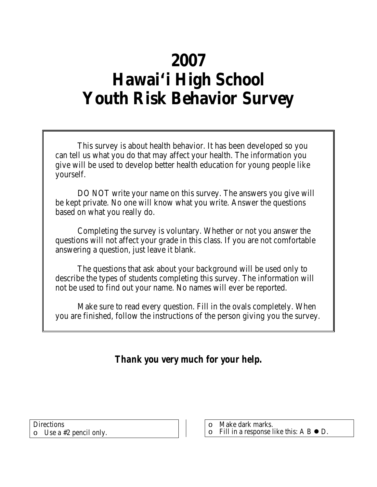# **2007 Hawai'i High School Youth Risk Behavior Survey**

This survey is about health behavior. It has been developed so you can tell us what you do that may affect your health. The information you give will be used to develop better health education for young people like yourself.

DO NOT write your name on this survey. The answers you give will be kept private. No one will know what you write. Answer the questions based on what you really do.

Completing the survey is voluntary. Whether or not you answer the questions will not affect your grade in this class. If you are not comfortable answering a question, just leave it blank.

The questions that ask about your background will be used only to describe the types of students completing this survey. The information will not be used to find out your name. No names will ever be reported.

Make sure to read every question. Fill in the ovals completely. When you are finished, follow the instructions of the person giving you the survey.

*Thank you very much for your help.*

| <b>Directions</b>             |
|-------------------------------|
| $\circ$ Use a #2 pencil only. |

| $\Omega$ |  | Make dark marks. |
|----------|--|------------------|
|          |  |                  |

 $\circ$  Fill in a response like this: A B  $\bullet$  D.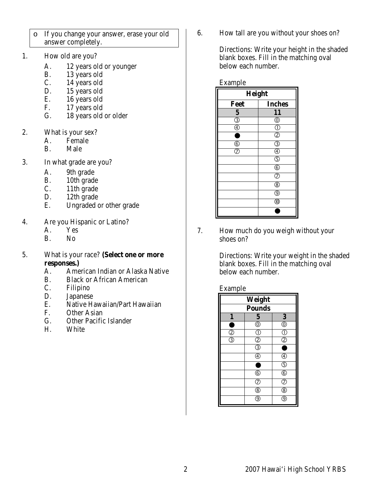- o If you change your answer, erase your old answer completely.
- 1. How old are you?
	- A. 12 years old or younger
	- B. 13 years old
	- C. 14 years old
	- D. 15 years old
	- E. 16 years old
	- F. 17 years old
	- G. 18 years old or older
- 2. What is your sex?
	- A. Female<br>B. Male
	- Male
- 3. In what grade are you?
	- A. 9th grade
	- B. 10th grade
	- C. 11th grade
	- D. 12th grade
	- E. Ungraded or other grade
- 4. Are you Hispanic or Latino?
	- A. Yes<br>B. No
	- N<sub>o</sub>
- 5. What is your race? **(Select one or more responses.)**
	- A. American Indian or Alaska Native
	- B. Black or African American
	- C. Filipino
	- D. Japanese
	- E. Native Hawaiian/Part Hawaiian
	- F. Other Asian
	- G. Other Pacific Islander
	- H. White

6. How tall are you without your shoes on?

Directions: Write your height in the shaded blank boxes. Fill in the matching oval below each number.

#### Example

| Height                            |                                           |  |  |  |
|-----------------------------------|-------------------------------------------|--|--|--|
| Feet                              | <b>Inches</b>                             |  |  |  |
| 5                                 | 11                                        |  |  |  |
| $\overline{\circledS}$            | $^{\copyright}$                           |  |  |  |
| $_{\textcircled{\scriptsize{4}}}$ | $^\copyright$                             |  |  |  |
|                                   | $\bar{\bar{\odot}}$                       |  |  |  |
| $_{\circledS}$                    | $\overline{\bigoplus_{\tau}}$             |  |  |  |
| $^\oslash$                        | $\overline{\overset{\circ}{\mathcal{D}}}$ |  |  |  |
|                                   | $\overline{\mathbb{G}}$                   |  |  |  |
|                                   | $^{\circledR}$                            |  |  |  |
|                                   | $_{\circledS}$                            |  |  |  |
|                                   | $^\circledR$                              |  |  |  |
|                                   | $^\copyright$                             |  |  |  |
|                                   | $^{\circledR}$                            |  |  |  |
|                                   |                                           |  |  |  |

7. How much do you weigh without your shoes on?

> Directions: Write your weight in the shaded blank boxes. Fill in the matching oval below each number.

#### Example

| Weight           |                         |                                      |  |  |  |
|------------------|-------------------------|--------------------------------------|--|--|--|
| <b>Pounds</b>    |                         |                                      |  |  |  |
| $\boldsymbol{l}$ | $\overline{\mathbf{5}}$ | $\overline{\mathbf{3}}$              |  |  |  |
|                  | $\overline{\mathbb{O}}$ | $\overline{\mathbb{O}}$              |  |  |  |
| T                | $^\circledR$            | $^\circledR$                         |  |  |  |
| ઉ                | $\overline{c}$          | T                                    |  |  |  |
|                  | T                       | ٠                                    |  |  |  |
|                  |                         | $\overline{\textcircled{\small{4}}}$ |  |  |  |
|                  | г                       | $_{\mathbb{G}}$                      |  |  |  |
|                  | $_{\circledS}$          | $^\copyright$                        |  |  |  |
|                  | T                       | $\bar{Q}$                            |  |  |  |
|                  | ⑧                       | ඹ                                    |  |  |  |
|                  | ତ୍ର                     | ୍ତ                                   |  |  |  |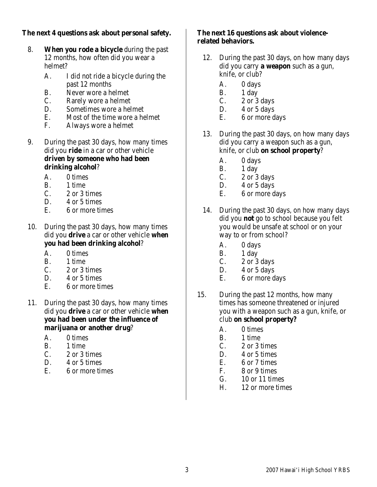# **The next 4 questions ask about personal safety.**

- 8. **When you rode a bicycle** during the past 12 months, how often did you wear a helmet?
	- A. I did not ride a bicycle during the past 12 months
	- B. Never wore a helmet
	- C. Rarely wore a helmet
	- D. Sometimes wore a helmet
	- E. Most of the time wore a helmet
	- F. Always wore a helmet
- 9. During the past 30 days, how many times did you **ride** in a car or other vehicle **driven by someone who had been drinking alcohol**?
	- A. 0 times
	- B. 1 time
	- $C. 2$  or 3 times
	- D. 4 or 5 times
	- E. 6 or more times
- 10. During the past 30 days, how many times did you **drive** a car or other vehicle **when you had been drinking alcohol**?
	- A. 0 times
	- B. 1 time
	- C. 2 or 3 times
	- D. 4 or 5 times
	- E. 6 or more times
- 11. During the past 30 days, how many times did you **drive** a car or other vehicle **when you had been under the influence of marijuana or another drug**?
	- A. 0 times
	- B. 1 time
	- C. 2 or 3 times
	- D. 4 or 5 times
	- E. 6 or more times

## **The next 16 questions ask about violencerelated behaviors.**

- 12. During the past 30 days, on how many days did you carry **a weapon** such as a gun, knife, or club?
	- A. 0 days
	- B. 1 day
	- C.  $2 \text{ or } 3 \text{ days}$
	- D. 4 or 5 days
	- E. 6 or more days
- 13. During the past 30 days, on how many days did you carry a weapon such as a gun, knife, or club **on school property**?
	- A. 0 days
	- B. 1 day
	- C.  $2 \text{ or } 3 \text{ days}$
	- D.  $4$  or  $5$  days
	- E. 6 or more days
- 14. During the past 30 days, on how many days did you **not** go to school because you felt you would be unsafe at school or on your way to or from school?
	- A. 0 days
	- B. 1 day
	- C.  $2 \text{ or } 3 \text{ days}$
	- D.  $4$  or  $5$  days
	- E. 6 or more days
- 15. During the past 12 months, how many times has someone threatened or injured you with a weapon such as a gun, knife, or club **on school property?**
	- A. 0 times
	- B. 1 time
	- C. 2 or 3 times
	- D. 4 or 5 times
	- E. 6 or 7 times
	- F. 8 or 9 times
	- G. 10 or 11 times
	- H. 12 or more times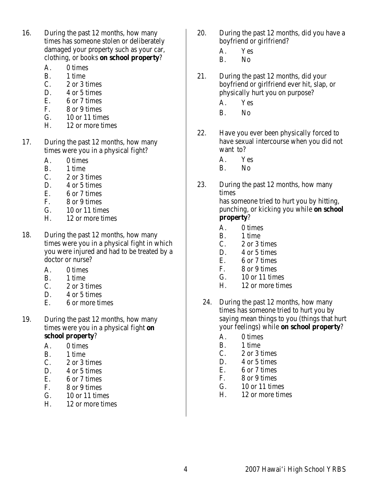- 16. During the past 12 months, how many times has someone stolen or deliberately damaged your property such as your car, clothing, or books **on school property**?
	- A. 0 times
	- B.  $1 \text{ time}$ <br>C.  $2 \text{ or } 3 \text{ t}$
	- C.  $2 \text{ or } 3 \text{ times}$ <br>D.  $4 \text{ or } 5 \text{ times}$
	- 4 or 5 times
	- E. 6 or 7 times
	- F. 8 or 9 times
	- G. 10 or 11 times
	- H. 12 or more times
- 17. During the past 12 months, how many times were you in a physical fight?
	- A. 0 times
	- B. 1 time
	- C. 2 or 3 times
	- D. 4 or 5 times
	- E. 6 or 7 times
	- F. 8 or 9 times
	- G. 10 or 11 times
	- H. 12 or more times
- 18. During the past 12 months, how many times were you in a physical fight in which you were injured and had to be treated by a doctor or nurse?
	- A. 0 times
	- B. 1 time
	- C. 2 or 3 times
	- D. 4 or 5 times
	- E. 6 or more times
- 19. During the past 12 months, how many times were you in a physical fight **on school property**?
	- A. 0 times
	- B. 1 time
	- C. 2 or 3 times
	- D. 4 or 5 times
	- E. 6 or 7 times
	- F. 8 or 9 times
	- G. 10 or 11 times
	- H. 12 or more times
- 20. During the past 12 months, did you have a boyfriend or girlfriend?
	- A. Yes
	- B. No
- 21. During the past 12 months, did your boyfriend or girlfriend ever hit, slap, or physically hurt you on purpose?
	- A. Yes
	- B. No
- 22. Have you ever been physically forced to have sexual intercourse when you did not want to?
	- A. Yes
	- B. No
- 23. During the past 12 months, how many times has someone tried to hurt you by hitting, punching, or kicking you while **on school property**?
	- A. 0 times
	- B. 1 time
	- C. 2 or 3 times
	- D. 4 or 5 times
	- E. 6 or 7 times
	- F. 8 or 9 times
	- G. 10 or 11 times
	- H. 12 or more times
	- 24. During the past 12 months, how many times has someone tried to hurt you by saying mean things to you (things that hurt your feelings) while **on school property**?
		- A. 0 times
		- B. 1 time
		- C. 2 or 3 times
		- D. 4 or 5 times
		- E. 6 or 7 times
		- F. 8 or 9 times
		- G. 10 or 11 times
		- H. 12 or more times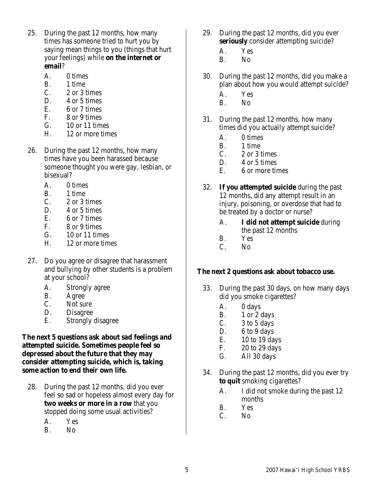- 25. During the past 12 months, how many times has someone tried to hurt you by saying mean things to you (things that hurt your feelings) while **on the internet or email**?
	- A. 0 times
	- B. 1 time
	- C. 2 or 3 times
	- D. 4 or 5 times
	- E. 6 or 7 times
	- F. 8 or 9 times
	- G. 10 or 11 times
	- H. 12 or more times
- 26. During the past 12 months, how many times have you been harassed because someone thought you were gay, lesbian, or bisexual?
	- A. 0 times
	- B. 1 time
	- C. 2 or 3 times
	- D. 4 or 5 times
	- E. 6 or 7 times
	- F. 8 or 9 times
	- G. 10 or 11 times
	- H. 12 or more times
- 27. Do you agree or disagree that harassment and bullying by other students is a problem at your school?
	- A. Strongly agree
	- B. Agree
	- C. Not sure
	- D. Disagree
	- E. Strongly disagree

**The next 5 questions ask about sad feelings and attempted suicide. Sometimes people feel so depressed about the future that they may consider attempting suicide, which is, taking some action to end their own life.**

- 28. During the past 12 months, did you ever feel so sad or hopeless almost every day for **two weeks or more in a row** that you stopped doing some usual activities?
	- A. Yes
	- B. No
- 29. During the past 12 months, did you ever **seriously** consider attempting suicide?
	- A. Yes
	- B. No
- 30. During the past 12 months, did you make a plan about how you would attempt suicide?
	- A. Yes
	- B. No
- 31. During the past 12 months, how many times did you actually attempt suicide?
	- A. 0 times
	- B. 1 time
	- C. 2 or 3 times
	- D. 4 or 5 times
	- E. 6 or more times
- 32. **If you attempted suicide** during the past 12 months, did any attempt result in an injury, poisoning, or overdose that had to be treated by a doctor or nurse?
	- A. **I did not attempt suicide** during the past 12 months
	- B. Yes
	- C. No

#### **The next 2 questions ask about tobacco use.**

- 33. During the past 30 days, on how many days did you smoke cigarettes?
	- A. 0 days
	- B. 1 or 2 days
	- C. 3 to 5 days
	- D. 6 to 9 days
	- E. 10 to 19 days
	- F. 20 to 29 days
	- G. All 30 days
- 34. During the past 12 months, did you ever try **to quit** smoking cigarettes?
	- A. I did not smoke during the past 12 months
	- B. Yes
	- C. No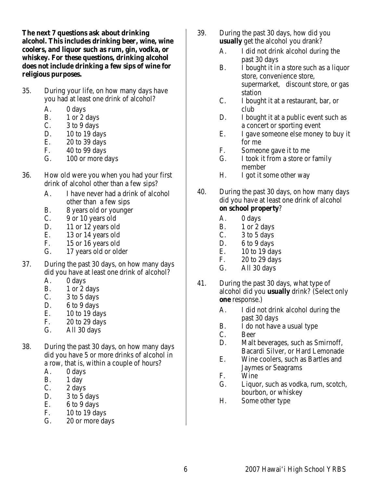**The next 7 questions ask about drinking alcohol. This includes drinking beer, wine, wine coolers, and liquor such as rum, gin, vodka, or whiskey. For these questions, drinking alcohol does not include drinking a few sips of wine for religious purposes.**

- 35. During your life, on how many days have you had at least one drink of alcohol?
	- A. 0 days
	- B. 1 or 2 days
	- C.  $3 \text{ to } 9 \text{ days}$
	- D. 10 to 19 days
	- E. 20 to 39 days
	- F. 40 to 99 days
	- G. 100 or more days
- 36. How old were you when you had your first drink of alcohol other than a few sips?
	- A. I have never had a drink of alcohol other than a few sips
	- B. 8 years old or younger
	- C. 9 or 10 years old
	- D. 11 or 12 years old
	- E. 13 or 14 years old
	- F. 15 or 16 years old
	- G. 17 years old or older
- 37. During the past 30 days, on how many days did you have at least one drink of alcohol?
	- A. 0 days
	- B. 1 or 2 days
	- C.  $3 \text{ to } 5 \text{ days}$
	- D. 6 to 9 days
	- E. 10 to 19 days
	- F. 20 to 29 days
	- G. All 30 days
- 38. During the past 30 days, on how many days did you have 5 or more drinks of alcohol in a row, that is, within a couple of hours?
	- A. 0 days
	- B. 1 day
	- C. 2 days
	- D. 3 to 5 days
	- E.  $6 to 9 days$
	- F. 10 to 19 days
	- G. 20 or more days
- 39. During the past 30 days, how did you **usually** get the alcohol you drank?
	- A. I did not drink alcohol during the past 30 days
	- B. I bought it in a store such as a liquor store, convenience store, supermarket, discount store, or gas station
	- C. I bought it at a restaurant, bar, or club
	- D. I bought it at a public event such as a concert or sporting event
	- E. I gave someone else money to buy it for me
	- F. Someone gave it to me
	- G. I took it from a store or family member
	- H. I got it some other way
- 40. During the past 30 days, on how many days did you have at least one drink of alcohol **on school property**?
	- A. 0 days
	- B. 1 or 2 days
	- $C.$  3 to 5 days
	- D. 6 to 9 days
	- E. 10 to 19 days
	- F. 20 to 29 days
	- G. All 30 days
- 41. During the past 30 days, what type of alcohol did you **usually** drink? (Select only **one** response.)
	- A. I did not drink alcohol during the past 30 days
	- B. I do not have a usual type
	- C. Beer
	- D. Malt beverages, such as Smirnoff, Bacardi Silver, or Hard Lemonade
	- E. Wine coolers, such as Bartles and Jaymes or Seagrams
	- F. Wine
	- G. Liquor, such as vodka, rum, scotch, bourbon, or whiskey
	- H. Some other type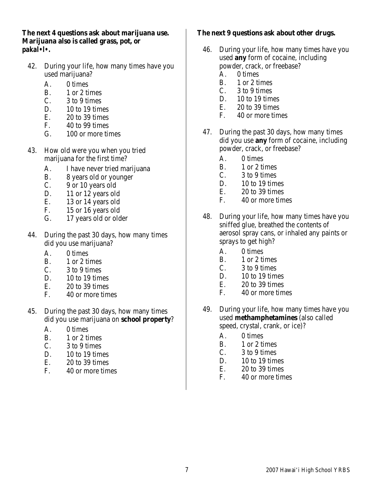**The next 4 questions ask about marijuana use. Marijuana also is called grass, pot, or** *pakal•l•.*

- 42. During your life, how many times have you used marijuana?
	- A. 0 times
	- B. 1 or 2 times
	- $C.$  3 to 9 times
	- D.  $10$  to 19 times
	- E. 20 to 39 times
	- F. 40 to 99 times
	- G. 100 or more times
- 43. How old were you when you tried marijuana for the first time?
	- A. I have never tried marijuana
	- B. 8 years old or younger
	- C. 9 or 10 years old
	- D. 11 or 12 years old
	- E. 13 or 14 years old
	- F. 15 or 16 years old
	- G. 17 years old or older
- 44. During the past 30 days, how many times did you use marijuana?
	- A. 0 times
	- B. 1 or 2 times
	- $C.$  3 to 9 times
	- D.  $10$  to 19 times
	- E.  $20 \text{ to } 39 \text{ times}$ <br>F.  $40 \text{ or more time}$
	- 40 or more times
- 45. During the past 30 days, how many times did you use marijuana on **school property**?
	- A. 0 times
	- B. 1 or 2 times
	- $C.$  3 to 9 times
	- D.  $10$  to 19 times
	- E. 20 to 39 times
	- F. 40 or more times

# **The next 9 questions ask about other drugs.**

- 46. During your life, how many times have you used **any** form of cocaine, including powder, crack, or freebase?
	- A. 0 times
	- B. 1 or 2 times<br>C. 3 to 9 times
	- 3 to 9 times
	- D. 10 to 19 times
	- E. 20 to 39 times
	- F. 40 or more times
- 47. During the past 30 days, how many times did you use **any** form of cocaine, including powder, crack, or freebase?
	- A. 0 times
	- B. 1 or 2 times
	- C. 3 to 9 times
	- D.  $10$  to 19 times
	- $E = 20$  to 39 times
	- F. 40 or more times
- 48. During your life, how many times have you sniffed glue, breathed the contents of aerosol spray cans, or inhaled any paints or sprays to get high?
	- A. 0 times
	- B. 1 or 2 times
	- C. 3 to 9 times
	- D.  $10$  to 19 times
	- E. 20 to 39 times
	- F. 40 or more times
- 49. During your life, how many times have you used **methamphetamines** (also called speed, crystal, crank, or ice)?
	- A. 0 times
	- B. 1 or 2 times
	- C. 3 to 9 times
	- D.  $10$  to 19 times
	- E. 20 to 39 times
	- F. 40 or more times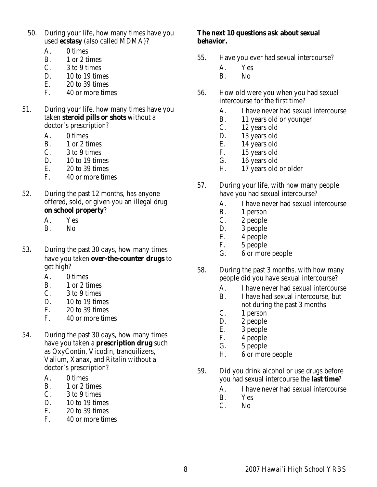- 50. During your life, how many times have you used **ecstasy** (also called MDMA)?
	- A. 0 times
	- B.  $1 \text{ or } 2 \text{ times}$ <br>C.  $3 \text{ to } 9 \text{ times}$
	- 3 to 9 times
	- D.  $10$  to 19 times
	- E.  $20 \text{ to } 39 \text{ times}$ <br>F.  $40 \text{ or more time}$
	- 40 or more times
- 51. During your life, how many times have you taken **steroid pills or shots** without a doctor's prescription?
	- A. 0 times
	- B.  $1 \text{ or } 2 \text{ times}$ <br>C.  $3 \text{ to } 9 \text{ times}$
	- 3 to 9 times
	- $D.$  10 to 19 times
	- E. 20 to 39 times
	- F. 40 or more times
- 52. During the past 12 months, has anyone offered, sold, or given you an illegal drug **on school property**?
	- A. Yes
	- B. No
- 53. During the past 30 days, how many times have you taken **over-the-counter drugs** to get high?
	- A. 0 times
	- B. 1 or 2 times
	- C.  $3$  to 9 times
	- D.  $10$  to 19 times
	- $E.$  20 to 39 times
	- F. 40 or more times
- 54. During the past 30 days, how many times have you taken a **prescription drug** such as OxyContin, Vicodin, tranquilizers, Valium, Xanax, and Ritalin without a doctor's prescription?
	- A. 0 times
	- B. 1 or 2 times
	- $C.$  3 to 9 times
	- D. 10 to 19 times
	- $E.$  20 to 39 times
	- F. 40 or more times

#### **The next 10 questions ask about sexual behavior.**

- 55. Have you ever had sexual intercourse?
	- A. Yes
	- B. No
- 56. How old were you when you had sexual intercourse for the first time?
	- A. I have never had sexual intercourse
	- B. 11 years old or younger
	- C. 12 years old
	- D. 13 years old
	- E. 14 years old<br>F. 15 years old
		- 15 years old
	- G. 16 years old
	- H. 17 years old or older
- 57. During your life, with how many people have you had sexual intercourse?
	- A. I have never had sexual intercourse
	- B. 1 person
	- C. 2 people
	- D. 3 people
	- E. 4 people
	- F. 5 people
	- G. 6 or more people
- 58. During the past 3 months, with how many people did you have sexual intercourse?
	- A. I have never had sexual intercourse
	- B. I have had sexual intercourse, but not during the past 3 months
	- C. 1 person
	- D. 2 people
	- E. 3 people
	- F. 4 people
	- G. 5 people
	- H. 6 or more people
- 59. Did you drink alcohol or use drugs before you had sexual intercourse the **last time**?
	- A. I have never had sexual intercourse
	- B. Yes C. No
	- N<sub>o</sub>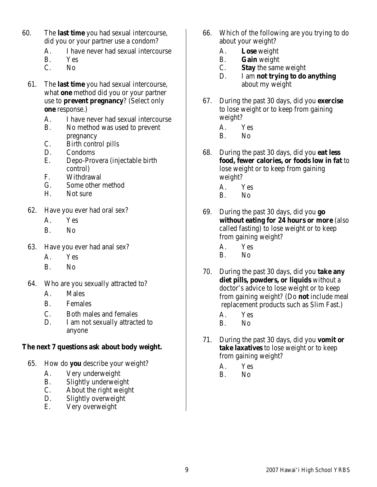- 60. The **last time** you had sexual intercourse, did you or your partner use a condom?
	- A. I have never had sexual intercourse
	- B. Yes<br>C. No
	- No.
	- 61. The **last time** you had sexual intercourse, what **one** method did you or your partner use to **prevent pregnancy**? (Select only **one** response.)
		- A. I have never had sexual intercourse
		- B. No method was used to prevent pregnancy
		- C. Birth control pills
		- D. Condoms
		- E. Depo-Provera (injectable birth control)
		- F. Withdrawal
		- G. Some other method
		- H. Not sure
	- 62. Have you ever had oral sex?
		- A. Yes
		- B. No
	- 63. Have you ever had anal sex?
		- A. Yes
		- B. No
	- 64. Who are you sexually attracted to?
		- A. Males
		- B. Females
		- C. Both males and females
		- D. I am not sexually attracted to anyone

# **The next 7 questions ask about body weight.**

- 65. How do **you** describe your weight?
	- A. Very underweight
	- B. Slightly underweight
	- C. About the right weight
	- D. Slightly overweight
	- E. Very overweight
- 66. Which of the following are you trying to do about your weight?
	- A. **Lose** weight
	- B. **Gain** weight
	- C. **Stay** the same weight
	- D. I am **not trying to do anything** about my weight
- 67. During the past 30 days, did you **exercise** to lose weight or to keep from gaining weight?
	- A. Yes
	- B. No
- 68. During the past 30 days, did you **eat less food, fewer calories, or foods low in fat** to lose weight or to keep from gaining weight?
	- A. Yes
	- B. No
- 69. During the past 30 days, did you **go without eating for 24 hours or more** (also called fasting) to lose weight or to keep from gaining weight?
	- A. Yes
	- B. No
- 70. During the past 30 days, did you **take any diet pills, powders, or liquids** without a doctor's advice to lose weight or to keep from gaining weight? (Do **not** include meal replacement products such as Slim Fast.)
	- A. Yes
	- B. No
- 71. During the past 30 days, did you **vomit or take laxatives** to lose weight or to keep from gaining weight?
	- A. Yes
	- B. No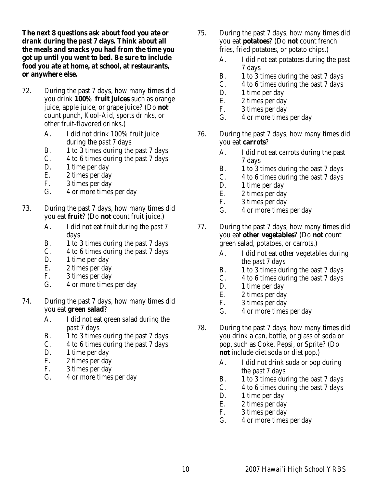**The next 8 questions ask about food you ate or drank during the past 7 days. Think about all the meals and snacks you had from the time you got up until you went to bed. Be sure to include food you ate at home, at school, at restaurants, or anywhere else.**

- 72. During the past 7 days, how many times did you drink **100% fruit juices** such as orange juice, apple juice, or grape juice? (Do **not** count punch, Kool-Aid, sports drinks, or other fruit-flavored drinks.)
	- A. I did not drink 100% fruit juice during the past 7 days
	- B. 1 to 3 times during the past 7 days
	- C. 4 to 6 times during the past 7 days
	- D. 1 time per day
	- E. 2 times per day
	- F. 3 times per day<br>G. 4 or more times
	- 4 or more times per day
- 73. During the past 7 days, how many times did you eat **fruit**? (Do **not** count fruit juice.)
	- A. I did not eat fruit during the past 7 days
	- B. 1 to 3 times during the past 7 days
	- C. 4 to 6 times during the past 7 days
	- D. 1 time per day
	- E. 2 times per day
	- F. 3 times per day
	- G. 4 or more times per day
- 74. During the past 7 days, how many times did you eat **green salad**?
	- A. I did not eat green salad during the past 7 days
	- B. 1 to 3 times during the past 7 days
	- C. 4 to 6 times during the past 7 days
	- D. 1 time per day
	- E. 2 times per day
	- F. 3 times per day
	- G. 4 or more times per day
- 75. During the past 7 days, how many times did you eat **potatoes**? (Do **not** count french fries, fried potatoes, or potato chips.)
	- A. I did not eat potatoes during the past 7 days
	- B. 1 to 3 times during the past 7 days
	- C. 4 to 6 times during the past 7 days
	- D. 1 time per day
	- E. 2 times per day
	- F. 3 times per day
	- G. 4 or more times per day
- 76. During the past 7 days, how many times did you eat **carrots**?
	- A. I did not eat carrots during the past 7 days
	- B. 1 to 3 times during the past 7 days
	- C. 4 to 6 times during the past 7 days
	- D. 1 time per day
	- E. 2 times per day
	- F. 3 times per day
	- G. 4 or more times per day
- 77. During the past 7 days, how many times did you eat **other vegetables**? (Do **not** count green salad, potatoes, or carrots.)
	- A. I did not eat other vegetables during the past 7 days
	- B. 1 to 3 times during the past 7 days
	- C. 4 to 6 times during the past 7 days
	- D. 1 time per day<br>E. 2 times per day
		- 2 times per day
	- F. 3 times per day
	- G. 4 or more times per day
- 78. During the past 7 days, how many times did you drink a can, bottle, or glass of soda or pop, such as Coke, Pepsi, or Sprite? (Do **not** include diet soda or diet pop.)
	- A. I did not drink soda or pop during the past 7 days
	- B. 1 to 3 times during the past 7 days
	- C. 4 to 6 times during the past 7 days
	- D. 1 time per day
	- E. 2 times per day
	- F. 3 times per day
	- G. 4 or more times per day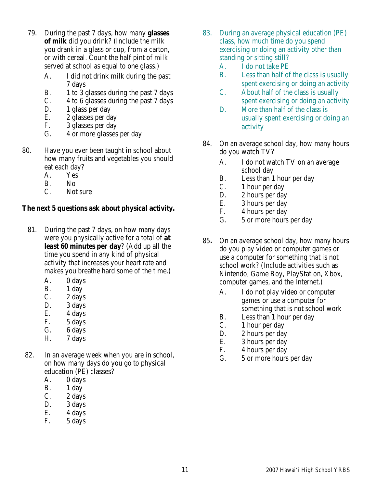- 79. During the past 7 days, how many **glasses of milk** did you drink? (Include the milk you drank in a glass or cup, from a carton, or with cereal. Count the half pint of milk served at school as equal to one glass.)
	- A. I did not drink milk during the past 7 days
	- B. 1 to 3 glasses during the past 7 days
	- C. 4 to 6 glasses during the past 7 days
	- D. 1 glass per day
	- E. 2 glasses per day
	- F. 3 glasses per day
	- G. 4 or more glasses per day
- 80. Have you ever been taught in school about how many fruits and vegetables you should eat each day?
	- A. Yes
	- B. No
	- C. Not sure

# **The next 5 questions ask about physical activity.**

- 81. During the past 7 days, on how many days were you physically active for a total of **at least 60 minutes per day**? (Add up all the time you spend in any kind of physical activity that increases your heart rate and makes you breathe hard some of the time.)
	- A. 0 days
	- B. 1 day
	- C. 2 days
	- D. 3 days
	- E. 4 days
	- F. 5 days
	- G. 6 days
	- H. 7 days
- 82. In an average week when you are in school, on how many days do you go to physical education (PE) classes?
	- A. 0 days
	- B. 1 day
	- C. 2 days
	- D. 3 days
	- $E.$  4 days
	- F. 5 days
- 83. During an average physical education (PE) class, how much time do you spend exercising or doing an activity other than standing or sitting still?
	- A. I do not take PE
	- B. Less than half of the class is usually spent exercising or doing an activity
	- C. About half of the class is usually spent exercising or doing an activity
	- D. More than half of the class is usually spent exercising or doing an activity
- 84. On an average school day, how many hours do you watch TV?
	- A. I do not watch TV on an average school day
	- B. Less than 1 hour per day
	- C. 1 hour per day
	- D. 2 hours per day
	- E. 3 hours per day
	- F. 4 hours per day<br>G. 5 or more hours
	- 5 or more hours per day
- 85**.** On an average school day, how many hours do you play video or computer games or use a computer for something that is not school work? (Include activities such as Nintendo, Game Boy, PlayStation, Xbox, computer games, and the Internet.)
	- A. I do not play video or computer games or use a computer for something that is not school work
	- B. Less than 1 hour per day
	- C. 1 hour per day
	- D. 2 hours per day
	- E. 3 hours per day
	- F. 4 hours per day
	- G. 5 or more hours per day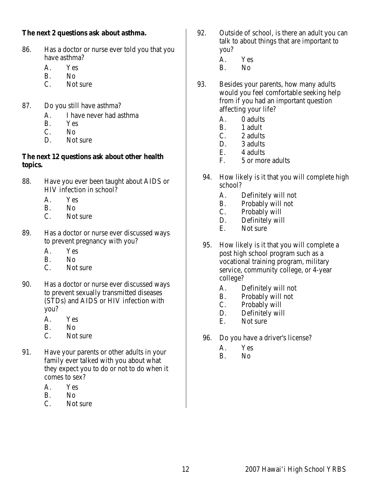## **The next 2 questions ask about asthma.**

- 86. Has a doctor or nurse ever told you that you have asthma?
	- A. Yes
	- B. No<br>C. Not
	- Not sure
- 87. Do you still have asthma?
	- A. I have never had asthma
	- B. Yes
	- C. No
	- D. Not sure

# **The next 12 questions ask about other health topics.**

- 88. Have you ever been taught about AIDS or HIV infection in school?
	- A. Yes
	- B. No
	- C. Not sure
- 89. Has a doctor or nurse ever discussed ways to prevent pregnancy with you?
	- A. Yes
	- B. No
	- C. Not sure
- 90. Has a doctor or nurse ever discussed ways to prevent sexually transmitted diseases (STDs) and AIDS or HIV infection with you?
	- A. Yes
	- B. No
	- C. Not sure
- 91. Have your parents or other adults in your family ever talked with you about what they expect you to do or not to do when it comes to sex?
	- A. Yes
	- B. No
	- C. Not sure
- 92. Outside of school, is there an adult you can talk to about things that are important to you?
	- A. Yes
	- B. No
- 93. Besides your parents, how many adults would you feel comfortable seeking help from if you had an important question affecting your life?
	- A. 0 adults
	- B. 1 adult
	- C. 2 adults
	- D. 3 adults<br>E. 4 adults
	- 4 adults
	- F. 5 or more adults
	- 94. How likely is it that you will complete high school?
		- A. Definitely will not
		- B. Probably will not
		- C. Probably will
		- D. Definitely will
		- E. Not sure
	- 95. How likely is it that you will complete a post high school program such as a vocational training program, military service, community college, or 4-year college?
		- A. Definitely will not
		- B. Probably will not<br>C. Probably will
		- Probably will
		- D. Definitely will
		- E. Not sure
	- 96. Do you have a driver's license?
		- A. Yes
		- B. No